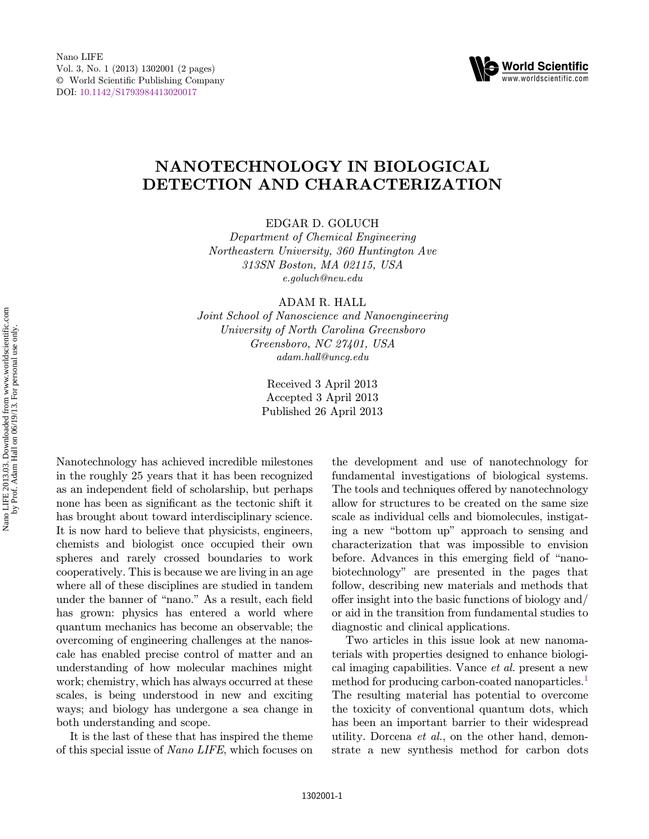

## NANOTECHNOLOGY IN BIOLOGICAL DETECTION AND CHARACTERIZATION

EDGAR D. GOLUCH

Department of Chemical Engineering Northeastern University, 360 Huntington Ave 313SN Boston, MA 02115, USA e.goluch@neu.edu

ADAM R. HALL

Joint School of Nanoscience and Nanoengineering University of North Carolina Greensboro Greensboro, NC 27401, USA adam.hall@uncg.edu

> Received 3 April 2013 Accepted 3 April 2013 Published 26 April 2013

Nanotechnology has achieved incredible milestones in the roughly 25 years that it has been recognized as an independent field of scholarship, but perhaps none has been as significant as the tectonic shift it has brought about toward interdisciplinary science. It is now hard to believe that physicists, engineers, chemists and biologist once occupied their own spheres and rarely crossed boundaries to work cooperatively. This is because we are living in an age where all of these disciplines are studied in tandem under the banner of "nano." As a result, each field has grown: physics has entered a world where quantum mechanics has become an observable; the overcoming of engineering challenges at the nanoscale has enabled precise control of matter and an understanding of how molecular machines might work; chemistry, which has always occurred at these scales, is being understood in new and exciting ways; and biology has undergone a sea change in both understanding and scope.

It is the last of these that has inspired the theme of this special issue of Nano LIFE, which focuses on the development and use of nanotechnology for fundamental investigations of biological systems. The tools and techniques offered by nanotechnology allow for structures to be created on the same size scale as individual cells and biomolecules, instigating a new \bottom up" approach to sensing and characterization that was impossible to envision before. Advances in this emerging field of "nanobiotechnology" are presented in the pages that follow, describing new materials and methods that offer insight into the basic functions of biology and/ or aid in the transition from fundamental studies to diagnostic and clinical applications.

Two articles in this issue look at new nanomaterials with properties designed to enhance biological imaging capabilities. Vance et al. present a new method for producing carbon-coated nanoparticles.<sup>[1](#page-1-0)</sup> The resulting material has potential to overcome the toxicity of conventional quantum dots, which has been an important barrier to their widespread utility. Dorcena et al., on the other hand, demonstrate a new synthesis method for carbon dots